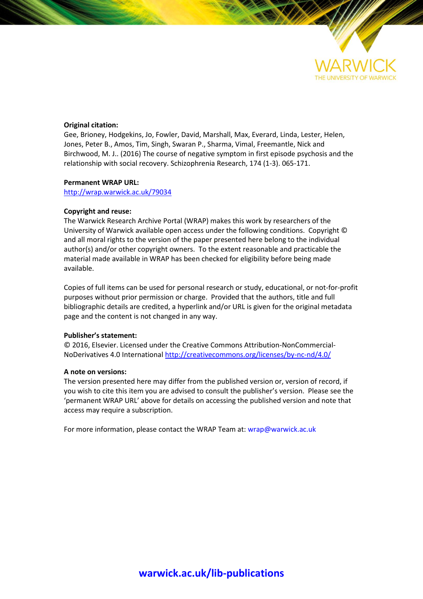

#### **Original citation:**

Gee, Brioney, Hodgekins, Jo, Fowler, David, Marshall, Max, Everard, Linda, Lester, Helen, Jones, Peter B., Amos, Tim, Singh, Swaran P., Sharma, Vimal, Freemantle, Nick and Birchwood, M. J.. (2016) The course of negative symptom in first episode psychosis and the relationship with social recovery. Schizophrenia Research, 174 (1-3). 065-171.

#### **Permanent WRAP URL:**

<http://wrap.warwick.ac.uk/79034>

#### **Copyright and reuse:**

The Warwick Research Archive Portal (WRAP) makes this work by researchers of the University of Warwick available open access under the following conditions. Copyright © and all moral rights to the version of the paper presented here belong to the individual author(s) and/or other copyright owners. To the extent reasonable and practicable the material made available in WRAP has been checked for eligibility before being made available.

Copies of full items can be used for personal research or study, educational, or not-for-profit purposes without prior permission or charge. Provided that the authors, title and full bibliographic details are credited, a hyperlink and/or URL is given for the original metadata page and the content is not changed in any way.

#### **Publisher's statement:**

© 2016, Elsevier. Licensed under the Creative Commons Attribution-NonCommercial-NoDerivatives 4.0 International<http://creativecommons.org/licenses/by-nc-nd/4.0/>

#### **A note on versions:**

The version presented here may differ from the published version or, version of record, if you wish to cite this item you are advised to consult the publisher's version. Please see the 'permanent WRAP URL' above for details on accessing the published version and note that access may require a subscription.

For more information, please contact the WRAP Team at[: wrap@warwick.ac.uk](mailto:wrap@warwick.ac.uk)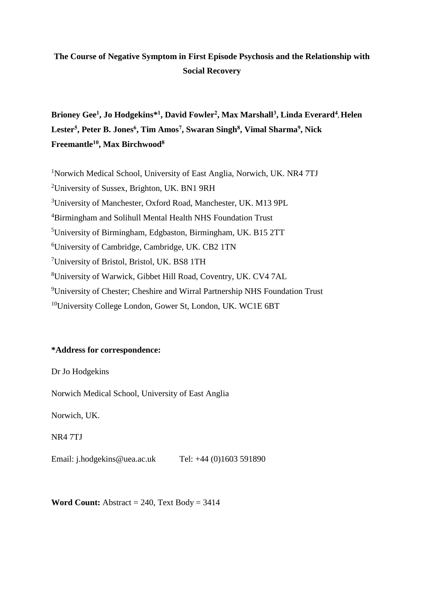## **The Course of Negative Symptom in First Episode Psychosis and the Relationship with Social Recovery**

**Brioney Gee<sup>1</sup> , Jo Hodgekins\* 1 , David Fowler<sup>2</sup> , Max Marshall<sup>3</sup> , Linda Everard<sup>4</sup> , Helen Lester<sup>5</sup> , Peter B. Jones<sup>6</sup> , Tim Amos<sup>7</sup> , Swaran Singh<sup>8</sup> , Vimal Sharma<sup>9</sup> , Nick Freemantle<sup>10</sup>, Max Birchwood<sup>8</sup>**

<sup>1</sup>Norwich Medical School, University of East Anglia, Norwich, UK. NR4 7TJ University of Sussex, Brighton, UK. BN1 9RH University of Manchester, Oxford Road, Manchester, UK. M13 9PL Birmingham and Solihull Mental Health NHS Foundation Trust University of Birmingham, Edgbaston, Birmingham, UK. B15 2TT University of Cambridge, Cambridge, UK. CB2 1TN University of Bristol, Bristol, UK. BS8 1TH University of Warwick, Gibbet Hill Road, Coventry, UK. CV4 7AL University of Chester; Cheshire and Wirral Partnership NHS Foundation Trust University College London, Gower St, London, UK. WC1E 6BT

## **\*Address for correspondence:**

Dr Jo Hodgekins

Norwich Medical School, University of East Anglia

Norwich, UK.

NR4 7TJ

Email: [j.hodgekins@uea.ac.uk](mailto:j.hodgekins@uea.ac.uk) Tel: +44 (0)1603 591890

**Word Count:** Abstract  $= 240$ , Text Body  $= 3414$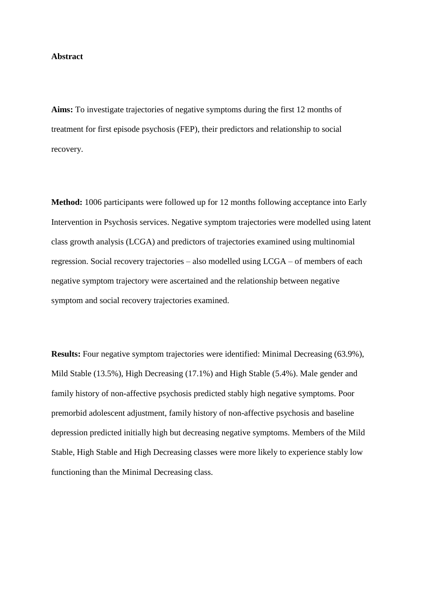#### **Abstract**

**Aims:** To investigate trajectories of negative symptoms during the first 12 months of treatment for first episode psychosis (FEP), their predictors and relationship to social recovery.

**Method:** 1006 participants were followed up for 12 months following acceptance into Early Intervention in Psychosis services. Negative symptom trajectories were modelled using latent class growth analysis (LCGA) and predictors of trajectories examined using multinomial regression. Social recovery trajectories – also modelled using LCGA – of members of each negative symptom trajectory were ascertained and the relationship between negative symptom and social recovery trajectories examined.

**Results:** Four negative symptom trajectories were identified: Minimal Decreasing (63.9%), Mild Stable (13.5%), High Decreasing (17.1%) and High Stable (5.4%). Male gender and family history of non-affective psychosis predicted stably high negative symptoms. Poor premorbid adolescent adjustment, family history of non-affective psychosis and baseline depression predicted initially high but decreasing negative symptoms. Members of the Mild Stable, High Stable and High Decreasing classes were more likely to experience stably low functioning than the Minimal Decreasing class.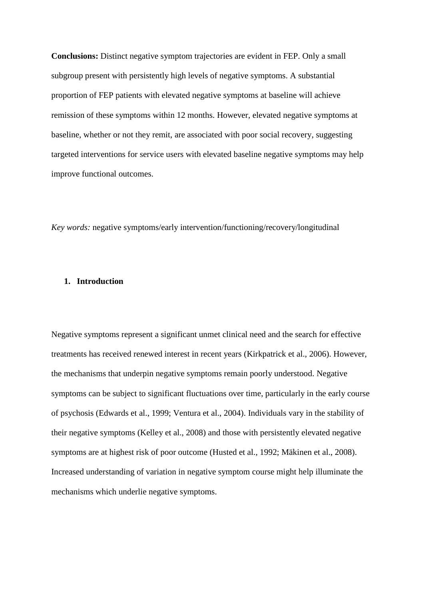**Conclusions:** Distinct negative symptom trajectories are evident in FEP. Only a small subgroup present with persistently high levels of negative symptoms. A substantial proportion of FEP patients with elevated negative symptoms at baseline will achieve remission of these symptoms within 12 months. However, elevated negative symptoms at baseline, whether or not they remit, are associated with poor social recovery, suggesting targeted interventions for service users with elevated baseline negative symptoms may help improve functional outcomes.

*Key words:* negative symptoms/early intervention/functioning/recovery/longitudinal

#### **1. Introduction**

Negative symptoms represent a significant unmet clinical need and the search for effective treatments has received renewed interest in recent years (Kirkpatrick et al., 2006). However, the mechanisms that underpin negative symptoms remain poorly understood. Negative symptoms can be subject to significant fluctuations over time, particularly in the early course of psychosis (Edwards et al., 1999; Ventura et al., 2004). Individuals vary in the stability of their negative symptoms (Kelley et al., 2008) and those with persistently elevated negative symptoms are at highest risk of poor outcome (Husted et al., 1992; Mäkinen et al., 2008). Increased understanding of variation in negative symptom course might help illuminate the mechanisms which underlie negative symptoms.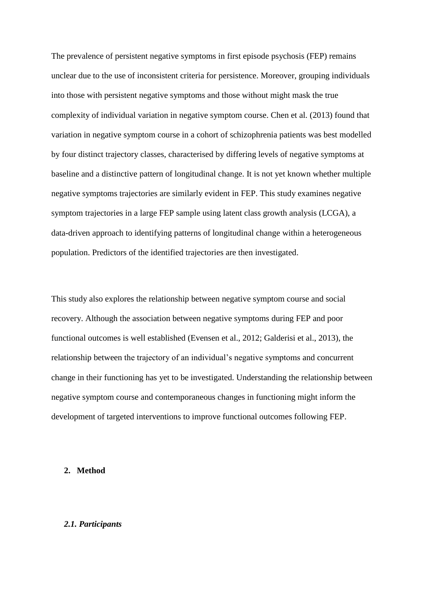The prevalence of persistent negative symptoms in first episode psychosis (FEP) remains unclear due to the use of inconsistent criteria for persistence. Moreover, grouping individuals into those with persistent negative symptoms and those without might mask the true complexity of individual variation in negative symptom course. Chen et al. (2013) found that variation in negative symptom course in a cohort of schizophrenia patients was best modelled by four distinct trajectory classes, characterised by differing levels of negative symptoms at baseline and a distinctive pattern of longitudinal change. It is not yet known whether multiple negative symptoms trajectories are similarly evident in FEP. This study examines negative symptom trajectories in a large FEP sample using latent class growth analysis (LCGA), a data-driven approach to identifying patterns of longitudinal change within a heterogeneous population. Predictors of the identified trajectories are then investigated.

This study also explores the relationship between negative symptom course and social recovery. Although the association between negative symptoms during FEP and poor functional outcomes is well established (Evensen et al., 2012; Galderisi et al., 2013), the relationship between the trajectory of an individual's negative symptoms and concurrent change in their functioning has yet to be investigated. Understanding the relationship between negative symptom course and contemporaneous changes in functioning might inform the development of targeted interventions to improve functional outcomes following FEP.

#### **2. Method**

#### *2.1. Participants*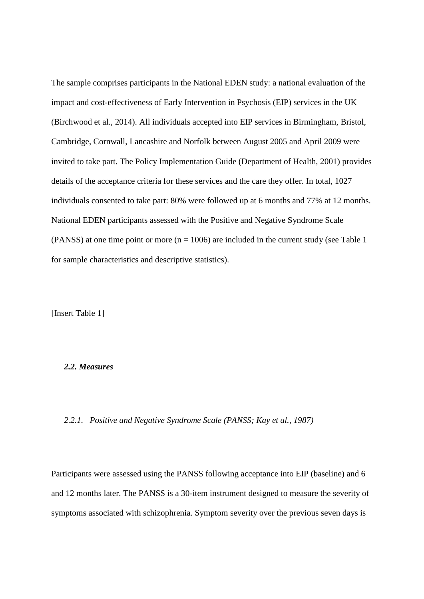The sample comprises participants in the National EDEN study: a national evaluation of the impact and cost-effectiveness of Early Intervention in Psychosis (EIP) services in the UK (Birchwood et al., 2014). All individuals accepted into EIP services in Birmingham, Bristol, Cambridge, Cornwall, Lancashire and Norfolk between August 2005 and April 2009 were invited to take part. The Policy Implementation Guide (Department of Health, 2001) provides details of the acceptance criteria for these services and the care they offer. In total, 1027 individuals consented to take part: 80% were followed up at 6 months and 77% at 12 months. National EDEN participants assessed with the Positive and Negative Syndrome Scale (PANSS) at one time point or more ( $n = 1006$ ) are included in the current study (see Table 1) for sample characteristics and descriptive statistics).

[Insert Table 1]

## *2.2. Measures*

*2.2.1. Positive and Negative Syndrome Scale (PANSS; Kay et al., 1987)*

Participants were assessed using the PANSS following acceptance into EIP (baseline) and 6 and 12 months later. The PANSS is a 30-item instrument designed to measure the severity of symptoms associated with schizophrenia. Symptom severity over the previous seven days is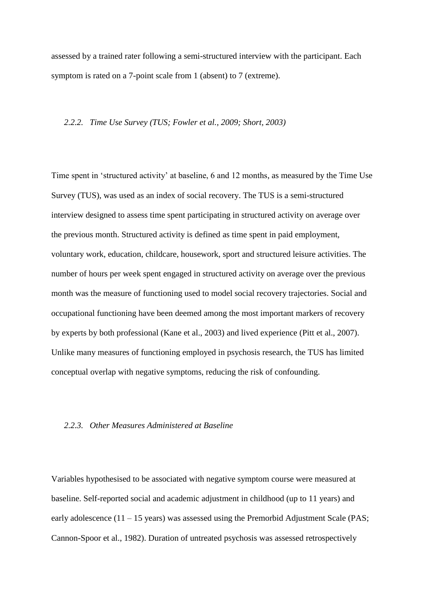assessed by a trained rater following a semi-structured interview with the participant. Each symptom is rated on a 7-point scale from 1 (absent) to 7 (extreme).

#### *2.2.2. Time Use Survey (TUS; Fowler et al., 2009; Short, 2003)*

Time spent in 'structured activity' at baseline, 6 and 12 months, as measured by the Time Use Survey (TUS), was used as an index of social recovery. The TUS is a semi-structured interview designed to assess time spent participating in structured activity on average over the previous month. Structured activity is defined as time spent in paid employment, voluntary work, education, childcare, housework, sport and structured leisure activities. The number of hours per week spent engaged in structured activity on average over the previous month was the measure of functioning used to model social recovery trajectories. Social and occupational functioning have been deemed among the most important markers of recovery by experts by both professional (Kane et al., 2003) and lived experience (Pitt et al., 2007). Unlike many measures of functioning employed in psychosis research, the TUS has limited conceptual overlap with negative symptoms, reducing the risk of confounding.

#### *2.2.3. Other Measures Administered at Baseline*

Variables hypothesised to be associated with negative symptom course were measured at baseline. Self-reported social and academic adjustment in childhood (up to 11 years) and early adolescence  $(11 - 15$  years) was assessed using the Premorbid Adjustment Scale (PAS; Cannon-Spoor et al., 1982). Duration of untreated psychosis was assessed retrospectively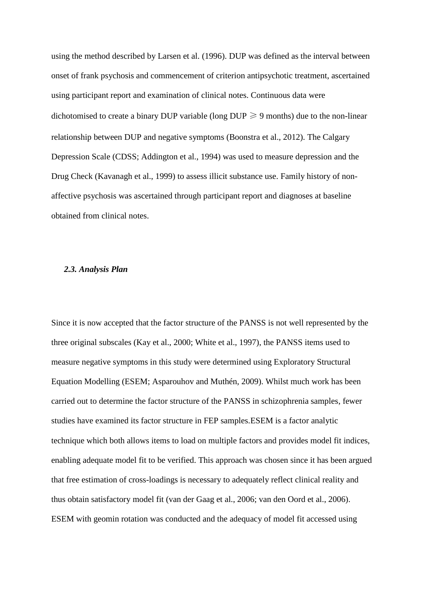using the method described by Larsen et al. (1996). DUP was defined as the interval between onset of frank psychosis and commencement of criterion antipsychotic treatment, ascertained using participant report and examination of clinical notes. Continuous data were dichotomised to create a binary DUP variable (long  $DUP \ge 9$  months) due to the non-linear relationship between DUP and negative symptoms (Boonstra et al., 2012). The Calgary Depression Scale (CDSS; Addington et al., 1994) was used to measure depression and the Drug Check (Kavanagh et al., 1999) to assess illicit substance use. Family history of nonaffective psychosis was ascertained through participant report and diagnoses at baseline obtained from clinical notes.

#### *2.3. Analysis Plan*

Since it is now accepted that the factor structure of the PANSS is not well represented by the three original subscales (Kay et al., 2000; White et al., 1997), the PANSS items used to measure negative symptoms in this study were determined using Exploratory Structural Equation Modelling (ESEM; Asparouhov and Muthén, 2009). Whilst much work has been carried out to determine the factor structure of the PANSS in schizophrenia samples, fewer studies have examined its factor structure in FEP samples.ESEM is a factor analytic technique which both allows items to load on multiple factors and provides model fit indices, enabling adequate model fit to be verified. This approach was chosen since it has been argued that free estimation of cross-loadings is necessary to adequately reflect clinical reality and thus obtain satisfactory model fit (van der Gaag et al., 2006; van den Oord et al., 2006). ESEM with geomin rotation was conducted and the adequacy of model fit accessed using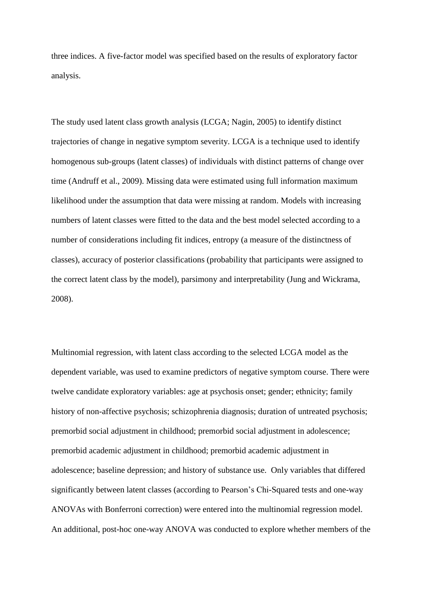three indices. A five-factor model was specified based on the results of exploratory factor analysis.

The study used latent class growth analysis (LCGA; Nagin, 2005) to identify distinct trajectories of change in negative symptom severity. LCGA is a technique used to identify homogenous sub-groups (latent classes) of individuals with distinct patterns of change over time (Andruff et al., 2009). Missing data were estimated using full information maximum likelihood under the assumption that data were missing at random. Models with increasing numbers of latent classes were fitted to the data and the best model selected according to a number of considerations including fit indices, entropy (a measure of the distinctness of classes), accuracy of posterior classifications (probability that participants were assigned to the correct latent class by the model), parsimony and interpretability (Jung and Wickrama, 2008).

Multinomial regression, with latent class according to the selected LCGA model as the dependent variable, was used to examine predictors of negative symptom course. There were twelve candidate exploratory variables: age at psychosis onset; gender; ethnicity; family history of non-affective psychosis; schizophrenia diagnosis; duration of untreated psychosis; premorbid social adjustment in childhood; premorbid social adjustment in adolescence; premorbid academic adjustment in childhood; premorbid academic adjustment in adolescence; baseline depression; and history of substance use. Only variables that differed significantly between latent classes (according to Pearson's Chi-Squared tests and one-way ANOVAs with Bonferroni correction) were entered into the multinomial regression model. An additional, post-hoc one-way ANOVA was conducted to explore whether members of the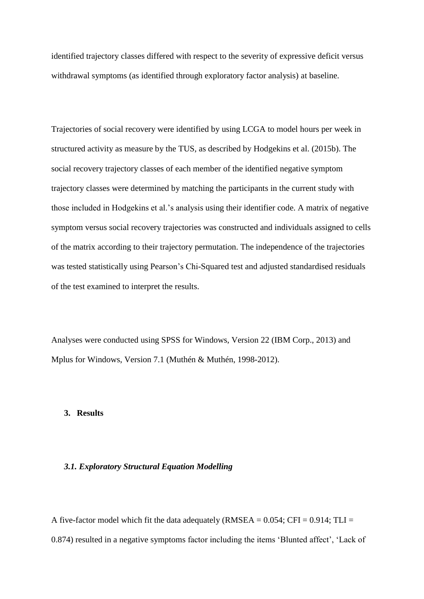identified trajectory classes differed with respect to the severity of expressive deficit versus withdrawal symptoms (as identified through exploratory factor analysis) at baseline.

Trajectories of social recovery were identified by using LCGA to model hours per week in structured activity as measure by the TUS, as described by Hodgekins et al. (2015b). The social recovery trajectory classes of each member of the identified negative symptom trajectory classes were determined by matching the participants in the current study with those included in Hodgekins et al.'s analysis using their identifier code. A matrix of negative symptom versus social recovery trajectories was constructed and individuals assigned to cells of the matrix according to their trajectory permutation. The independence of the trajectories was tested statistically using Pearson's Chi-Squared test and adjusted standardised residuals of the test examined to interpret the results.

Analyses were conducted using SPSS for Windows, Version 22 (IBM Corp., 2013) and Mplus for Windows, Version 7.1 (Muthén & Muthén, 1998-2012).

## **3. Results**

## *3.1. Exploratory Structural Equation Modelling*

A five-factor model which fit the data adequately (RMSEA =  $0.054$ ; CFI =  $0.914$ ; TLI = 0.874) resulted in a negative symptoms factor including the items 'Blunted affect', 'Lack of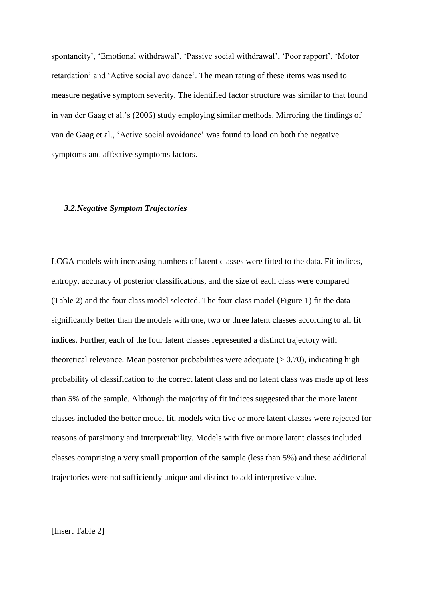spontaneity', 'Emotional withdrawal', 'Passive social withdrawal', 'Poor rapport', 'Motor retardation' and 'Active social avoidance'. The mean rating of these items was used to measure negative symptom severity. The identified factor structure was similar to that found in van der Gaag et al.'s (2006) study employing similar methods. Mirroring the findings of van de Gaag et al., 'Active social avoidance' was found to load on both the negative symptoms and affective symptoms factors.

#### *3.2.Negative Symptom Trajectories*

LCGA models with increasing numbers of latent classes were fitted to the data. Fit indices, entropy, accuracy of posterior classifications, and the size of each class were compared (Table 2) and the four class model selected. The four-class model (Figure 1) fit the data significantly better than the models with one, two or three latent classes according to all fit indices. Further, each of the four latent classes represented a distinct trajectory with theoretical relevance. Mean posterior probabilities were adequate  $(> 0.70)$ , indicating high probability of classification to the correct latent class and no latent class was made up of less than 5% of the sample. Although the majority of fit indices suggested that the more latent classes included the better model fit, models with five or more latent classes were rejected for reasons of parsimony and interpretability. Models with five or more latent classes included classes comprising a very small proportion of the sample (less than 5%) and these additional trajectories were not sufficiently unique and distinct to add interpretive value.

[Insert Table 2]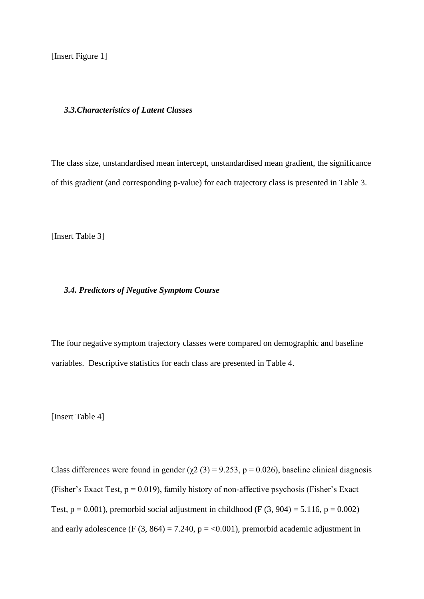[Insert Figure 1]

#### *3.3.Characteristics of Latent Classes*

The class size, unstandardised mean intercept, unstandardised mean gradient, the significance of this gradient (and corresponding p-value) for each trajectory class is presented in Table 3.

[Insert Table 3]

#### *3.4. Predictors of Negative Symptom Course*

The four negative symptom trajectory classes were compared on demographic and baseline variables. Descriptive statistics for each class are presented in Table 4.

[Insert Table 4]

Class differences were found in gender ( $\chi$ 2 (3) = 9.253, p = 0.026), baseline clinical diagnosis (Fisher's Exact Test,  $p = 0.019$ ), family history of non-affective psychosis (Fisher's Exact Test,  $p = 0.001$ ), premorbid social adjustment in childhood (F  $(3, 904) = 5.116$ ,  $p = 0.002$ ) and early adolescence (F  $(3, 864) = 7.240$ ,  $p = <0.001$ ), premorbid academic adjustment in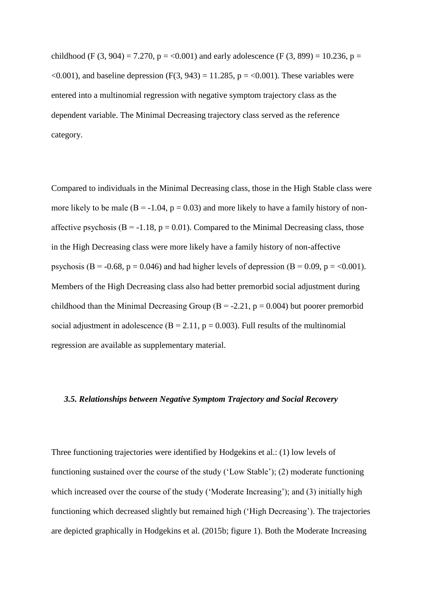childhood (F (3, 904) = 7.270, p = <0.001) and early adolescence (F (3, 899) = 10.236, p =  $\leq 0.001$ ), and baseline depression (F(3, 943) = 11.285, p =  $\leq 0.001$ ). These variables were entered into a multinomial regression with negative symptom trajectory class as the dependent variable. The Minimal Decreasing trajectory class served as the reference category.

Compared to individuals in the Minimal Decreasing class, those in the High Stable class were more likely to be male  $(B = -1.04, p = 0.03)$  and more likely to have a family history of nonaffective psychosis ( $B = -1.18$ ,  $p = 0.01$ ). Compared to the Minimal Decreasing class, those in the High Decreasing class were more likely have a family history of non-affective psychosis (B = -0.68, p = 0.046) and had higher levels of depression (B = 0.09, p =  $<0.001$ ). Members of the High Decreasing class also had better premorbid social adjustment during childhood than the Minimal Decreasing Group ( $B = -2.21$ ,  $p = 0.004$ ) but poorer premorbid social adjustment in adolescence  $(B = 2.11, p = 0.003)$ . Full results of the multinomial regression are available as supplementary material.

### *3.5. Relationships between Negative Symptom Trajectory and Social Recovery*

Three functioning trajectories were identified by Hodgekins et al.: (1) low levels of functioning sustained over the course of the study ('Low Stable'); (2) moderate functioning which increased over the course of the study ('Moderate Increasing'); and (3) initially high functioning which decreased slightly but remained high ('High Decreasing'). The trajectories are depicted graphically in Hodgekins et al. (2015b; figure 1). Both the Moderate Increasing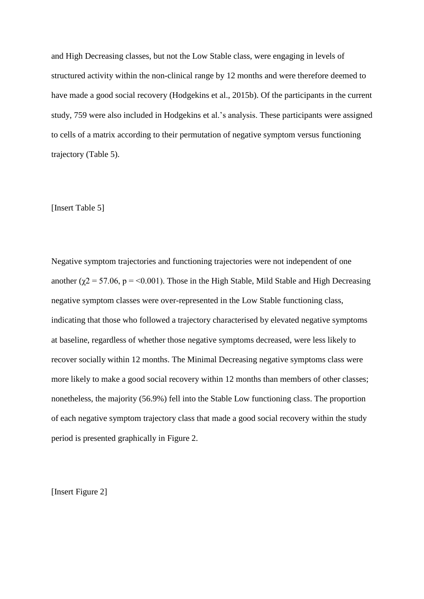and High Decreasing classes, but not the Low Stable class, were engaging in levels of structured activity within the non-clinical range by 12 months and were therefore deemed to have made a good social recovery (Hodgekins et al., 2015b). Of the participants in the current study, 759 were also included in Hodgekins et al.'s analysis. These participants were assigned to cells of a matrix according to their permutation of negative symptom versus functioning trajectory (Table 5).

#### [Insert Table 5]

Negative symptom trajectories and functioning trajectories were not independent of one another ( $\chi$ 2 = 57.06, p = <0.001). Those in the High Stable, Mild Stable and High Decreasing negative symptom classes were over-represented in the Low Stable functioning class, indicating that those who followed a trajectory characterised by elevated negative symptoms at baseline, regardless of whether those negative symptoms decreased, were less likely to recover socially within 12 months. The Minimal Decreasing negative symptoms class were more likely to make a good social recovery within 12 months than members of other classes; nonetheless, the majority (56.9%) fell into the Stable Low functioning class. The proportion of each negative symptom trajectory class that made a good social recovery within the study period is presented graphically in Figure 2.

[Insert Figure 2]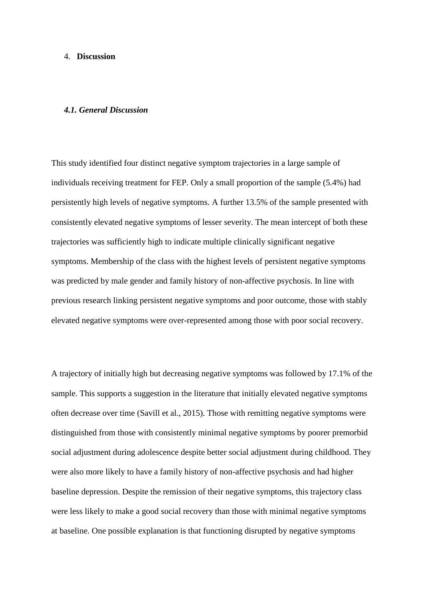#### 4. **Discussion**

#### *4.1. General Discussion*

This study identified four distinct negative symptom trajectories in a large sample of individuals receiving treatment for FEP. Only a small proportion of the sample (5.4%) had persistently high levels of negative symptoms. A further 13.5% of the sample presented with consistently elevated negative symptoms of lesser severity. The mean intercept of both these trajectories was sufficiently high to indicate multiple clinically significant negative symptoms. Membership of the class with the highest levels of persistent negative symptoms was predicted by male gender and family history of non-affective psychosis. In line with previous research linking persistent negative symptoms and poor outcome, those with stably elevated negative symptoms were over-represented among those with poor social recovery.

A trajectory of initially high but decreasing negative symptoms was followed by 17.1% of the sample. This supports a suggestion in the literature that initially elevated negative symptoms often decrease over time (Savill et al., 2015). Those with remitting negative symptoms were distinguished from those with consistently minimal negative symptoms by poorer premorbid social adjustment during adolescence despite better social adjustment during childhood. They were also more likely to have a family history of non-affective psychosis and had higher baseline depression. Despite the remission of their negative symptoms, this trajectory class were less likely to make a good social recovery than those with minimal negative symptoms at baseline. One possible explanation is that functioning disrupted by negative symptoms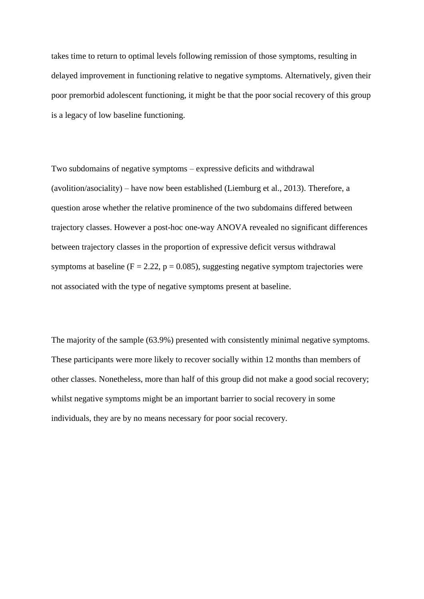takes time to return to optimal levels following remission of those symptoms, resulting in delayed improvement in functioning relative to negative symptoms. Alternatively, given their poor premorbid adolescent functioning, it might be that the poor social recovery of this group is a legacy of low baseline functioning.

Two subdomains of negative symptoms – expressive deficits and withdrawal (avolition/asociality) – have now been established (Liemburg et al., 2013). Therefore, a question arose whether the relative prominence of the two subdomains differed between trajectory classes. However a post-hoc one-way ANOVA revealed no significant differences between trajectory classes in the proportion of expressive deficit versus withdrawal symptoms at baseline ( $F = 2.22$ ,  $p = 0.085$ ), suggesting negative symptom trajectories were not associated with the type of negative symptoms present at baseline.

The majority of the sample (63.9%) presented with consistently minimal negative symptoms. These participants were more likely to recover socially within 12 months than members of other classes. Nonetheless, more than half of this group did not make a good social recovery; whilst negative symptoms might be an important barrier to social recovery in some individuals, they are by no means necessary for poor social recovery.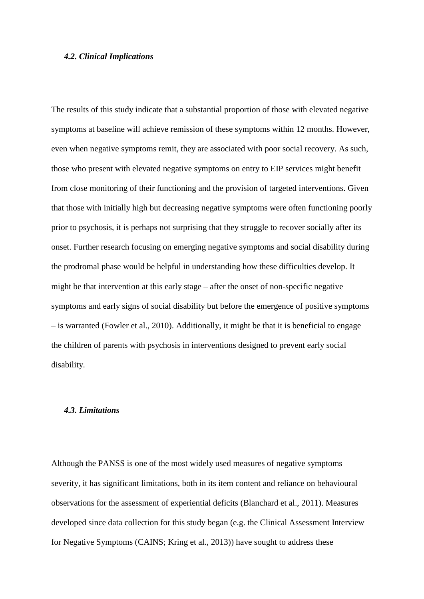#### *4.2. Clinical Implications*

The results of this study indicate that a substantial proportion of those with elevated negative symptoms at baseline will achieve remission of these symptoms within 12 months. However, even when negative symptoms remit, they are associated with poor social recovery. As such, those who present with elevated negative symptoms on entry to EIP services might benefit from close monitoring of their functioning and the provision of targeted interventions. Given that those with initially high but decreasing negative symptoms were often functioning poorly prior to psychosis, it is perhaps not surprising that they struggle to recover socially after its onset. Further research focusing on emerging negative symptoms and social disability during the prodromal phase would be helpful in understanding how these difficulties develop. It might be that intervention at this early stage – after the onset of non-specific negative symptoms and early signs of social disability but before the emergence of positive symptoms – is warranted (Fowler et al., 2010). Additionally, it might be that it is beneficial to engage the children of parents with psychosis in interventions designed to prevent early social disability.

## *4.3. Limitations*

Although the PANSS is one of the most widely used measures of negative symptoms severity, it has significant limitations, both in its item content and reliance on behavioural observations for the assessment of experiential deficits (Blanchard et al., 2011). Measures developed since data collection for this study began (e.g. the Clinical Assessment Interview for Negative Symptoms (CAINS; Kring et al., 2013)) have sought to address these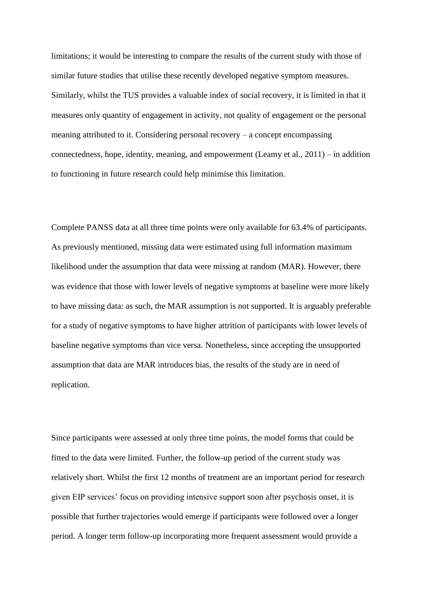limitations; it would be interesting to compare the results of the current study with those of similar future studies that utilise these recently developed negative symptom measures. Similarly, whilst the TUS provides a valuable index of social recovery, it is limited in that it measures only quantity of engagement in activity, not quality of engagement or the personal meaning attributed to it. Considering personal recovery – a concept encompassing connectedness, hope, identity, meaning, and empowerment (Leamy et al., 2011) – in addition to functioning in future research could help minimise this limitation.

Complete PANSS data at all three time points were only available for 63.4% of participants. As previously mentioned, missing data were estimated using full information maximum likelihood under the assumption that data were missing at random (MAR). However, there was evidence that those with lower levels of negative symptoms at baseline were more likely to have missing data: as such, the MAR assumption is not supported. It is arguably preferable for a study of negative symptoms to have higher attrition of participants with lower levels of baseline negative symptoms than vice versa. Nonetheless, since accepting the unsupported assumption that data are MAR introduces bias, the results of the study are in need of replication.

Since participants were assessed at only three time points, the model forms that could be fitted to the data were limited. Further, the follow-up period of the current study was relatively short. Whilst the first 12 months of treatment are an important period for research given EIP services' focus on providing intensive support soon after psychosis onset, it is possible that further trajectories would emerge if participants were followed over a longer period. A longer term follow-up incorporating more frequent assessment would provide a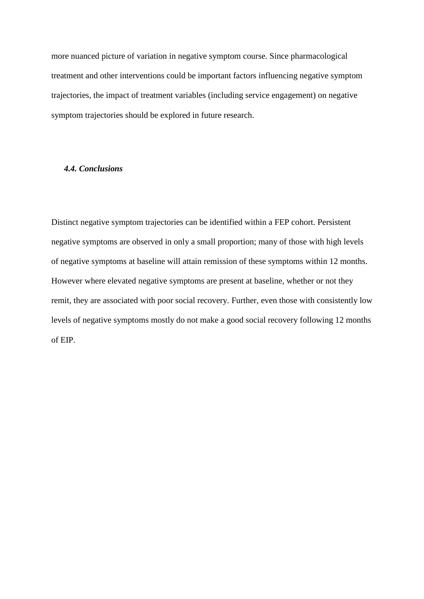more nuanced picture of variation in negative symptom course. Since pharmacological treatment and other interventions could be important factors influencing negative symptom trajectories, the impact of treatment variables (including service engagement) on negative symptom trajectories should be explored in future research.

## *4.4. Conclusions*

Distinct negative symptom trajectories can be identified within a FEP cohort. Persistent negative symptoms are observed in only a small proportion; many of those with high levels of negative symptoms at baseline will attain remission of these symptoms within 12 months. However where elevated negative symptoms are present at baseline, whether or not they remit, they are associated with poor social recovery. Further, even those with consistently low levels of negative symptoms mostly do not make a good social recovery following 12 months of EIP.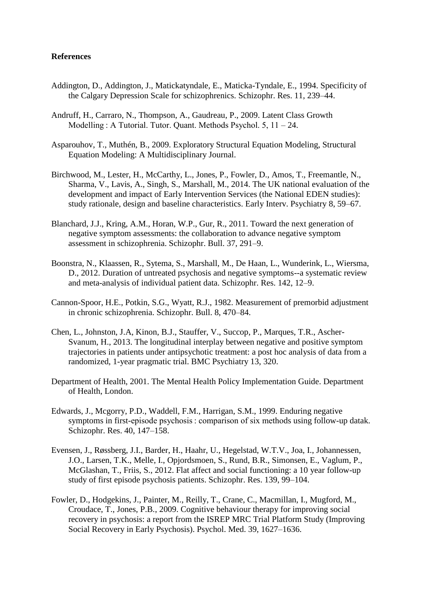## **References**

- Addington, D., Addington, J., Matickatyndale, E., Maticka-Tyndale, E., 1994. Specificity of the Calgary Depression Scale for schizophrenics. Schizophr. Res. 11, 239–44.
- Andruff, H., Carraro, N., Thompson, A., Gaudreau, P., 2009. Latent Class Growth Modelling : A Tutorial. Tutor. Quant. Methods Psychol. 5, 11 – 24.
- Asparouhov, T., Muthén, B., 2009. Exploratory Structural Equation Modeling, Structural Equation Modeling: A Multidisciplinary Journal.
- Birchwood, M., Lester, H., McCarthy, L., Jones, P., Fowler, D., Amos, T., Freemantle, N., Sharma, V., Lavis, A., Singh, S., Marshall, M., 2014. The UK national evaluation of the development and impact of Early Intervention Services (the National EDEN studies): study rationale, design and baseline characteristics. Early Interv. Psychiatry 8, 59–67.
- Blanchard, J.J., Kring, A.M., Horan, W.P., Gur, R., 2011. Toward the next generation of negative symptom assessments: the collaboration to advance negative symptom assessment in schizophrenia. Schizophr. Bull. 37, 291–9.
- Boonstra, N., Klaassen, R., Sytema, S., Marshall, M., De Haan, L., Wunderink, L., Wiersma, D., 2012. Duration of untreated psychosis and negative symptoms--a systematic review and meta-analysis of individual patient data. Schizophr. Res. 142, 12–9.
- Cannon-Spoor, H.E., Potkin, S.G., Wyatt, R.J., 1982. Measurement of premorbid adjustment in chronic schizophrenia. Schizophr. Bull. 8, 470–84.
- Chen, L., Johnston, J.A, Kinon, B.J., Stauffer, V., Succop, P., Marques, T.R., Ascher-Svanum, H., 2013. The longitudinal interplay between negative and positive symptom trajectories in patients under antipsychotic treatment: a post hoc analysis of data from a randomized, 1-year pragmatic trial. BMC Psychiatry 13, 320.
- Department of Health, 2001. The Mental Health Policy Implementation Guide. Department of Health, London.
- Edwards, J., Mcgorry, P.D., Waddell, F.M., Harrigan, S.M., 1999. Enduring negative symptoms in first-episode psychosis : comparison of six methods using follow-up datak. Schizophr. Res. 40, 147–158.
- Evensen, J., Røssberg, J.I., Barder, H., Haahr, U., Hegelstad, W.T.V., Joa, I., Johannessen, J.O., Larsen, T.K., Melle, I., Opjordsmoen, S., Rund, B.R., Simonsen, E., Vaglum, P., McGlashan, T., Friis, S., 2012. Flat affect and social functioning: a 10 year follow-up study of first episode psychosis patients. Schizophr. Res. 139, 99–104.
- Fowler, D., Hodgekins, J., Painter, M., Reilly, T., Crane, C., Macmillan, I., Mugford, M., Croudace, T., Jones, P.B., 2009. Cognitive behaviour therapy for improving social recovery in psychosis: a report from the ISREP MRC Trial Platform Study (Improving Social Recovery in Early Psychosis). Psychol. Med. 39, 1627–1636.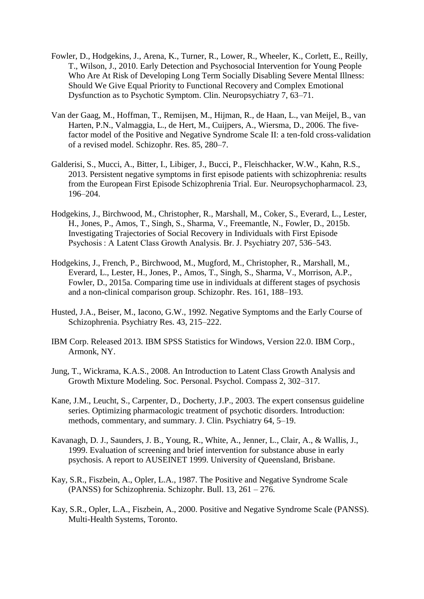- Fowler, D., Hodgekins, J., Arena, K., Turner, R., Lower, R., Wheeler, K., Corlett, E., Reilly, T., Wilson, J., 2010. Early Detection and Psychosocial Intervention for Young People Who Are At Risk of Developing Long Term Socially Disabling Severe Mental Illness: Should We Give Equal Priority to Functional Recovery and Complex Emotional Dysfunction as to Psychotic Symptom. Clin. Neuropsychiatry 7, 63–71.
- Van der Gaag, M., Hoffman, T., Remijsen, M., Hijman, R., de Haan, L., van Meijel, B., van Harten, P.N., Valmaggia, L., de Hert, M., Cuijpers, A., Wiersma, D., 2006. The fivefactor model of the Positive and Negative Syndrome Scale II: a ten-fold cross-validation of a revised model. Schizophr. Res. 85, 280–7.
- Galderisi, S., Mucci, A., Bitter, I., Libiger, J., Bucci, P., Fleischhacker, W.W., Kahn, R.S., 2013. Persistent negative symptoms in first episode patients with schizophrenia: results from the European First Episode Schizophrenia Trial. Eur. Neuropsychopharmacol. 23, 196–204.
- Hodgekins, J., Birchwood, M., Christopher, R., Marshall, M., Coker, S., Everard, L., Lester, H., Jones, P., Amos, T., Singh, S., Sharma, V., Freemantle, N., Fowler, D., 2015b. Investigating Trajectories of Social Recovery in Individuals with First Episode Psychosis : A Latent Class Growth Analysis. Br. J. Psychiatry 207, 536–543.
- Hodgekins, J., French, P., Birchwood, M., Mugford, M., Christopher, R., Marshall, M., Everard, L., Lester, H., Jones, P., Amos, T., Singh, S., Sharma, V., Morrison, A.P., Fowler, D., 2015a. Comparing time use in individuals at different stages of psychosis and a non-clinical comparison group. Schizophr. Res. 161, 188–193.
- Husted, J.A., Beiser, M., Iacono, G.W., 1992. Negative Symptoms and the Early Course of Schizophrenia. Psychiatry Res. 43, 215–222.
- IBM Corp. Released 2013. IBM SPSS Statistics for Windows, Version 22.0. IBM Corp., Armonk, NY.
- Jung, T., Wickrama, K.A.S., 2008. An Introduction to Latent Class Growth Analysis and Growth Mixture Modeling. Soc. Personal. Psychol. Compass 2, 302–317.
- Kane, J.M., Leucht, S., Carpenter, D., Docherty, J.P., 2003. The expert consensus guideline series. Optimizing pharmacologic treatment of psychotic disorders. Introduction: methods, commentary, and summary. J. Clin. Psychiatry 64, 5–19.
- Kavanagh, D. J., Saunders, J. B., Young, R., White, A., Jenner, L., Clair, A., & Wallis, J., 1999. Evaluation of screening and brief intervention for substance abuse in early psychosis. A report to AUSEINET 1999. University of Queensland, Brisbane.
- Kay, S.R., Fiszbein, A., Opler, L.A., 1987. The Positive and Negative Syndrome Scale (PANSS) for Schizophrenia. Schizophr. Bull. 13, 261 – 276.
- Kay, S.R., Opler, L.A., Fiszbein, A., 2000. Positive and Negative Syndrome Scale (PANSS). Multi-Health Systems, Toronto.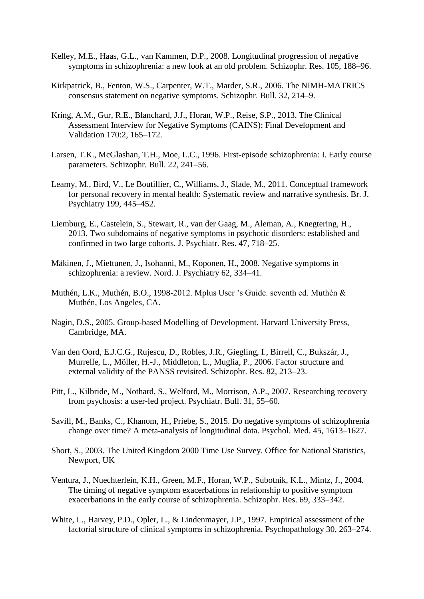- Kelley, M.E., Haas, G.L., van Kammen, D.P., 2008. Longitudinal progression of negative symptoms in schizophrenia: a new look at an old problem. Schizophr. Res. 105, 188–96.
- Kirkpatrick, B., Fenton, W.S., Carpenter, W.T., Marder, S.R., 2006. The NIMH-MATRICS consensus statement on negative symptoms. Schizophr. Bull. 32, 214–9.
- Kring, A.M., Gur, R.E., Blanchard, J.J., Horan, W.P., Reise, S.P., 2013. The Clinical Assessment Interview for Negative Symptoms (CAINS): Final Development and Validation 170:2, 165–172.
- Larsen, T.K., McGlashan, T.H., Moe, L.C., 1996. First-episode schizophrenia: I. Early course parameters. Schizophr. Bull. 22, 241–56.
- Leamy, M., Bird, V., Le Boutillier, C., Williams, J., Slade, M., 2011. Conceptual framework for personal recovery in mental health: Systematic review and narrative synthesis. Br. J. Psychiatry 199, 445–452.
- Liemburg, E., Castelein, S., Stewart, R., van der Gaag, M., Aleman, A., Knegtering, H., 2013. Two subdomains of negative symptoms in psychotic disorders: established and confirmed in two large cohorts. J. Psychiatr. Res. 47, 718–25.
- Mäkinen, J., Miettunen, J., Isohanni, M., Koponen, H., 2008. Negative symptoms in schizophrenia: a review. Nord. J. Psychiatry 62, 334–41.
- Muthén, L.K., Muthén, B.O., 1998-2012. Mplus User 's Guide. seventh ed. Muthén & Muthén, Los Angeles, CA.
- Nagin, D.S., 2005. Group-based Modelling of Development. Harvard University Press, Cambridge, MA.
- Van den Oord, E.J.C.G., Rujescu, D., Robles, J.R., Giegling, I., Birrell, C., Bukszár, J., Murrelle, L., Möller, H.-J., Middleton, L., Muglia, P., 2006. Factor structure and external validity of the PANSS revisited. Schizophr. Res. 82, 213–23.
- Pitt, L., Kilbride, M., Nothard, S., Welford, M., Morrison, A.P., 2007. Researching recovery from psychosis: a user-led project. Psychiatr. Bull. 31, 55–60.
- Savill, M., Banks, C., Khanom, H., Priebe, S., 2015. Do negative symptoms of schizophrenia change over time? A meta-analysis of longitudinal data. Psychol. Med. 45, 1613–1627.
- Short, S., 2003. The United Kingdom 2000 Time Use Survey. Office for National Statistics, Newport, UK
- Ventura, J., Nuechterlein, K.H., Green, M.F., Horan, W.P., Subotnik, K.L., Mintz, J., 2004. The timing of negative symptom exacerbations in relationship to positive symptom exacerbations in the early course of schizophrenia. Schizophr. Res. 69, 333–342.
- White, L., Harvey, P.D., Opler, L., & Lindenmayer, J.P., 1997. Empirical assessment of the factorial structure of clinical symptoms in schizophrenia. Psychopathology 30, 263–274.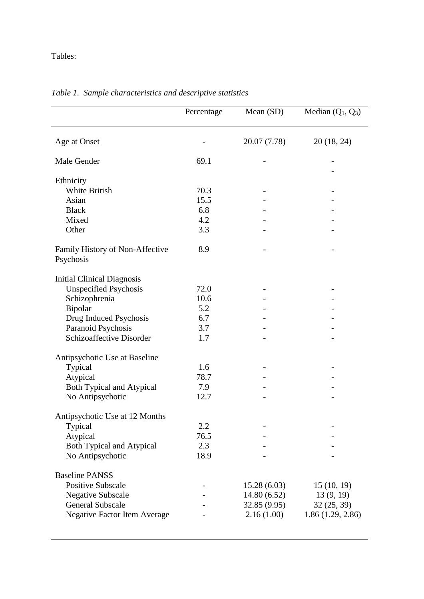## Tables:

|                                              | Percentage | Mean $(SD)$  | Median $(Q_1, Q_3)$ |
|----------------------------------------------|------------|--------------|---------------------|
|                                              |            |              |                     |
| Age at Onset                                 |            | 20.07 (7.78) | 20 (18, 24)         |
| Male Gender                                  | 69.1       |              |                     |
| Ethnicity                                    |            |              |                     |
| <b>White British</b>                         | 70.3       |              |                     |
| Asian                                        | 15.5       |              |                     |
| <b>Black</b>                                 | 6.8        |              |                     |
| Mixed                                        | 4.2        |              |                     |
| Other                                        | 3.3        |              |                     |
| Family History of Non-Affective<br>Psychosis | 8.9        |              |                     |
|                                              |            |              |                     |
| <b>Initial Clinical Diagnosis</b>            |            |              |                     |
| <b>Unspecified Psychosis</b>                 | 72.0       |              |                     |
| Schizophrenia                                | 10.6       |              |                     |
| Bipolar                                      | 5.2        |              |                     |
| Drug Induced Psychosis                       | 6.7        |              |                     |
| Paranoid Psychosis                           | 3.7        |              |                     |
| Schizoaffective Disorder                     | 1.7        |              |                     |
| Antipsychotic Use at Baseline                |            |              |                     |
| Typical                                      | 1.6        |              |                     |
| Atypical                                     | 78.7       |              |                     |
| Both Typical and Atypical                    | 7.9        |              |                     |
| No Antipsychotic                             | 12.7       |              |                     |
| Antipsychotic Use at 12 Months               |            |              |                     |
| Typical                                      | 2.2        |              |                     |
| Atypical                                     | 76.5       |              |                     |
| Both Typical and Atypical                    | 2.3        |              |                     |
| No Antipsychotic                             | 18.9       |              |                     |
| <b>Baseline PANSS</b>                        |            |              |                     |
| <b>Positive Subscale</b>                     |            | 15.28(6.03)  | 15(10, 19)          |
| <b>Negative Subscale</b>                     |            | 14.80(6.52)  | 13(9, 19)           |
| <b>General Subscale</b>                      |            | 32.85 (9.95) | 32(25, 39)          |
| <b>Negative Factor Item Average</b>          |            | 2.16(1.00)   | 1.86(1.29, 2.86)    |

## *Table 1. Sample characteristics and descriptive statistics*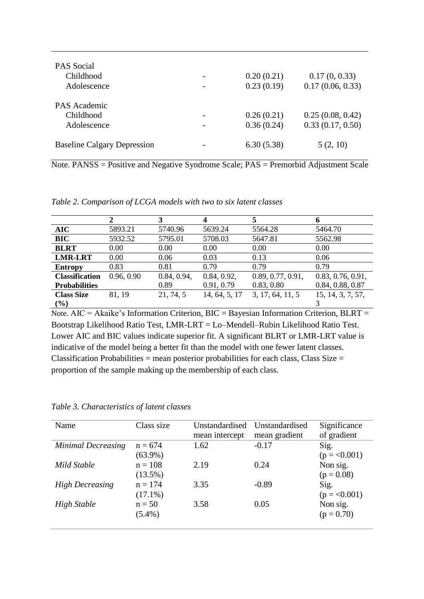| <b>PAS</b> Social<br>Childhood<br>Adolescence | 0.20(0.21)<br>0.23(0.19) | 0.17(0, 0.33)<br>0.17(0.06, 0.33)    |
|-----------------------------------------------|--------------------------|--------------------------------------|
| PAS Academic<br>Childhood<br>Adolescence      | 0.26(0.21)<br>0.36(0.24) | 0.25(0.08, 0.42)<br>0.33(0.17, 0.50) |
| <b>Baseline Calgary Depression</b>            | 6.30(5.38)               | 5(2, 10)                             |

Note. PANSS = Positive and Negative Syndrome Scale; PAS = Premorbid Adjustment Scale

|  |  |  |  |  | Table 2. Comparison of LCGA models with two to six latent classes |
|--|--|--|--|--|-------------------------------------------------------------------|
|--|--|--|--|--|-------------------------------------------------------------------|

|                       |            |             | 4             |                   | 6                 |
|-----------------------|------------|-------------|---------------|-------------------|-------------------|
| <b>AIC</b>            | 5893.21    | 5740.96     | 5639.24       | 5564.28           | 5464.70           |
| <b>BIC</b>            | 5932.52    | 5795.01     | 5708.03       | 5647.81           | 5562.98           |
| <b>BLRT</b>           | 0.00       | 0.00        | 0.00          | 0.00              | 0.00              |
| <b>LMR-LRT</b>        | 0.00       | 0.06        | 0.03          | 0.13              | 0.06              |
| <b>Entropy</b>        | 0.83       | 0.81        | 0.79          | 0.79              | 0.79              |
| <b>Classification</b> | 0.96, 0.90 | 0.84, 0.94, | 0.84, 0.92,   | 0.89, 0.77, 0.91, | 0.83, 0.76, 0.91, |
| <b>Probabilities</b>  |            | 0.89        | 0.91, 0.79    | 0.83, 0.80        | 0.84, 0.88, 0.87  |
| <b>Class Size</b>     | 81, 19     | 21, 74, 5   | 14, 64, 5, 17 | 3, 17, 64, 11, 5  | 15, 14, 3, 7, 57, |
| $\frac{9}{6}$         |            |             |               |                   |                   |

Note. AIC = Akaike's Information Criterion, BIC = Bayesian Information Criterion, BLRT = Bootstrap Likelihood Ratio Test, LMR-LRT = Lo–Mendell–Rubin Likelihood Ratio Test. Lower AIC and BIC values indicate superior fit. A significant BLRT or LMR-LRT value is indicative of the model being a better fit than the model with one fewer latent classes. Classification Probabilities = mean posterior probabilities for each class, Class Size = proportion of the sample making up the membership of each class.

| Name                      | Class size | Unstandardised | Unstandardised | Significance  |
|---------------------------|------------|----------------|----------------|---------------|
|                           |            | mean intercept | mean gradient  | of gradient   |
| <b>Minimal Decreasing</b> | $n = 674$  | 1.62           | $-0.17$        | Sig.          |
|                           | $(63.9\%)$ |                |                | $(p = 0.001)$ |
| Mild Stable               | $n = 108$  | 2.19           | 0.24           | Non sig.      |
|                           | $(13.5\%)$ |                |                | $(p = 0.08)$  |
| <b>High Decreasing</b>    | $n = 174$  | 3.35           | $-0.89$        | Sig.          |
|                           | $(17.1\%)$ |                |                | $(p = 0.001)$ |
| High Stable               | $n = 50$   | 3.58           | 0.05           | Non sig.      |
|                           | $(5.4\%)$  |                |                | $(p = 0.70)$  |
|                           |            |                |                |               |

*Table 3. Characteristics of latent classes*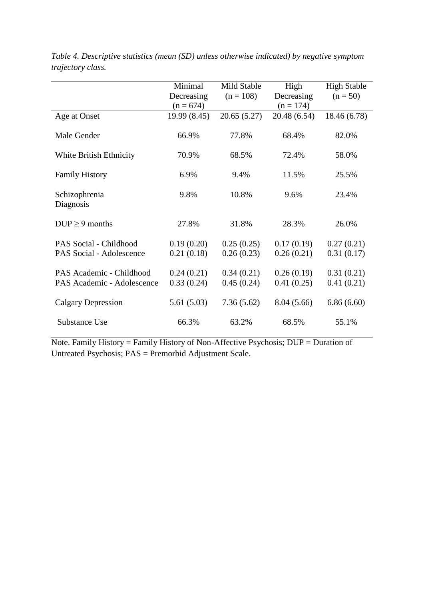|                                                        | Minimal                  | Mild Stable              | High                     | <b>High Stable</b>       |
|--------------------------------------------------------|--------------------------|--------------------------|--------------------------|--------------------------|
|                                                        | Decreasing               | $(n = 108)$              | Decreasing               | $(n = 50)$               |
|                                                        | $(n = 674)$              |                          | $(n = 174)$              |                          |
| Age at Onset                                           | 19.99 (8.45)             | 20.65(5.27)              | 20.48 (6.54)             | 18.46 (6.78)             |
| Male Gender                                            | 66.9%                    | 77.8%                    | 68.4%                    | 82.0%                    |
| White British Ethnicity                                | 70.9%                    | 68.5%                    | 72.4%                    | 58.0%                    |
| <b>Family History</b>                                  | 6.9%                     | 9.4%                     | 11.5%                    | 25.5%                    |
| Schizophrenia<br>Diagnosis                             | 9.8%                     | 10.8%                    | 9.6%                     | 23.4%                    |
| $DUP \geq 9$ months                                    | 27.8%                    | 31.8%                    | 28.3%                    | 26.0%                    |
| PAS Social - Childhood                                 | 0.19(0.20)               | 0.25(0.25)               | 0.17(0.19)               | 0.27(0.21)               |
| PAS Social - Adolescence                               | 0.21(0.18)               | 0.26(0.23)               | 0.26(0.21)               | 0.31(0.17)               |
| PAS Academic - Childhood<br>PAS Academic - Adolescence | 0.24(0.21)<br>0.33(0.24) | 0.34(0.21)<br>0.45(0.24) | 0.26(0.19)<br>0.41(0.25) | 0.31(0.21)<br>0.41(0.21) |
| Calgary Depression                                     | 5.61(5.03)               | 7.36(5.62)               | 8.04(5.66)               | 6.86(6.60)               |
| Substance Use                                          | 66.3%                    | 63.2%                    | 68.5%                    | 55.1%                    |

*Table 4. Descriptive statistics (mean (SD) unless otherwise indicated) by negative symptom trajectory class.*

Note. Family History = Family History of Non-Affective Psychosis; DUP = Duration of Untreated Psychosis; PAS = Premorbid Adjustment Scale.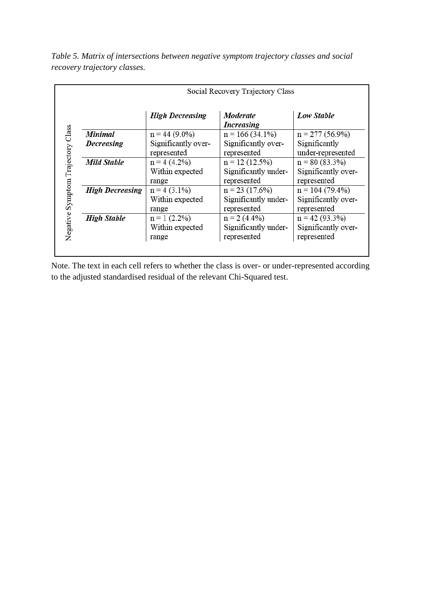| Social Recovery Trajectory Class |                        |                               |                     |  |  |
|----------------------------------|------------------------|-------------------------------|---------------------|--|--|
|                                  | <b>High Decreasing</b> | Moderate<br><b>Increasing</b> | Low Stable          |  |  |
| <b>Minimal</b>                   | $n = 44(9.0\%)$        | $n = 166(34.1\%)$             | $n = 277(56.9\%)$   |  |  |
| Decreasing                       | Significantly over-    | Significantly over-           | Significantly       |  |  |
|                                  | represented            | represented                   | under-represented   |  |  |
| <b>Mild Stable</b>               | $n = 4(4.2\%)$         | $n = 12(12.5\%)$              | $n = 80(83.3%)$     |  |  |
|                                  | Within expected        | Significantly under-          | Significantly over- |  |  |
|                                  | range                  | represented                   | represented         |  |  |
| <b>High Decreasing</b>           | $n = 4(3.1\%)$         | $n = 23(17.6%)$               | $n = 104(79.4\%)$   |  |  |
|                                  | Within expected        | Significantly under-          | Significantly over- |  |  |
|                                  | range                  | represented                   | represented         |  |  |
| <b>High Stable</b>               | $n = 1$ (2.2%)         | $n = 2$ (4.4%)                | $n = 42(93.3%)$     |  |  |
|                                  | Within expected        | Significantly under-          | Significantly over- |  |  |
|                                  | range                  | represented                   | represented         |  |  |

*Table 5. Matrix of intersections between negative symptom trajectory classes and social recovery trajectory classes.* 

Note. The text in each cell refers to whether the class is over- or under-represented according to the adjusted standardised residual of the relevant Chi-Squared test.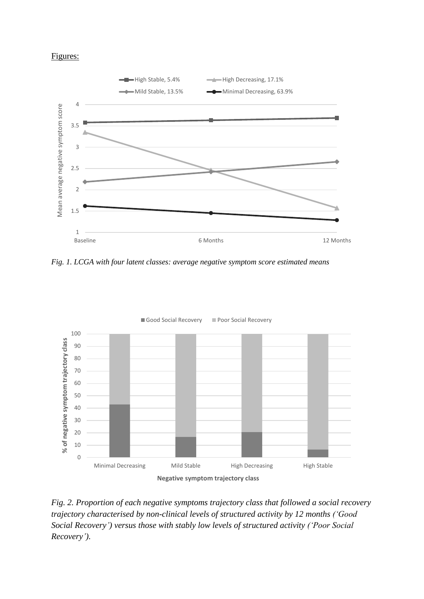## Figures:



*Fig. 1. LCGA with four latent classes: average negative symptom score estimated means* 



*Fig. 2. Proportion of each negative symptoms trajectory class that followed a social recovery trajectory characterised by non-clinical levels of structured activity by 12 months ('Good Social Recovery') versus those with stably low levels of structured activity ('Poor Social Recovery').*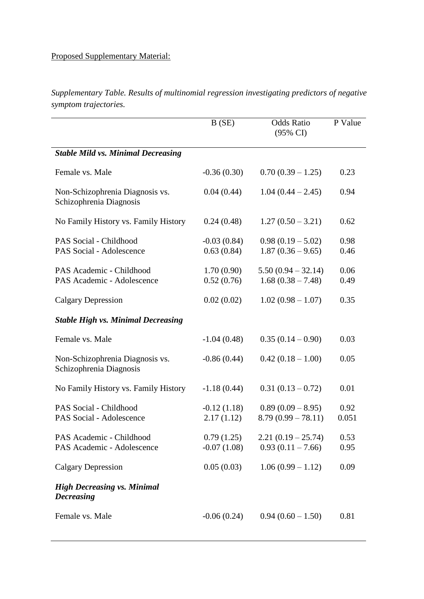# Proposed Supplementary Material:

|                       | Supplementary Table. Results of multinomial regression investigating predictors of negative |  |  |
|-----------------------|---------------------------------------------------------------------------------------------|--|--|
| symptom trajectories. |                                                                                             |  |  |

|                                                            | B(SE)                       | <b>Odds Ratio</b><br>$(95\% \text{ CI})$    | P Value       |
|------------------------------------------------------------|-----------------------------|---------------------------------------------|---------------|
| <b>Stable Mild vs. Minimal Decreasing</b>                  |                             |                                             |               |
| Female vs. Male                                            | $-0.36(0.30)$               | $0.70(0.39 - 1.25)$                         | 0.23          |
| Non-Schizophrenia Diagnosis vs.<br>Schizophrenia Diagnosis | 0.04(0.44)                  | $1.04(0.44 - 2.45)$                         | 0.94          |
| No Family History vs. Family History                       | 0.24(0.48)                  | $1.27(0.50 - 3.21)$                         | 0.62          |
| PAS Social - Childhood<br>PAS Social - Adolescence         | $-0.03(0.84)$<br>0.63(0.84) | $0.98(0.19-5.02)$<br>$1.87(0.36 - 9.65)$    | 0.98<br>0.46  |
| PAS Academic - Childhood<br>PAS Academic - Adolescence     | 1.70(0.90)<br>0.52(0.76)    | $5.50(0.94 - 32.14)$<br>$1.68(0.38 - 7.48)$ | 0.06<br>0.49  |
| <b>Calgary Depression</b>                                  | 0.02(0.02)                  | $1.02(0.98-1.07)$                           | 0.35          |
| <b>Stable High vs. Minimal Decreasing</b>                  |                             |                                             |               |
| Female vs. Male                                            | $-1.04(0.48)$               | $0.35(0.14-0.90)$                           | 0.03          |
| Non-Schizophrenia Diagnosis vs.<br>Schizophrenia Diagnosis | $-0.86(0.44)$               | $0.42(0.18-1.00)$                           | 0.05          |
| No Family History vs. Family History                       | $-1.18(0.44)$               | $0.31(0.13-0.72)$                           | 0.01          |
| PAS Social - Childhood<br>PAS Social - Adolescence         | $-0.12(1.18)$<br>2.17(1.12) | $0.89(0.09 - 8.95)$<br>$8.79(0.99 - 78.11)$ | 0.92<br>0.051 |
| PAS Academic - Childhood<br>PAS Academic - Adolescence     | 0.79(1.25)<br>$-0.07(1.08)$ | $2.21(0.19 - 25.74)$<br>$0.93(0.11 - 7.66)$ | 0.53<br>0.95  |
| <b>Calgary Depression</b>                                  | 0.05(0.03)                  | $1.06(0.99 - 1.12)$                         | 0.09          |
| <b>High Decreasing vs. Minimal</b><br><b>Decreasing</b>    |                             |                                             |               |
| Female vs. Male                                            | $-0.06(0.24)$               | $0.94(0.60 - 1.50)$                         | 0.81          |